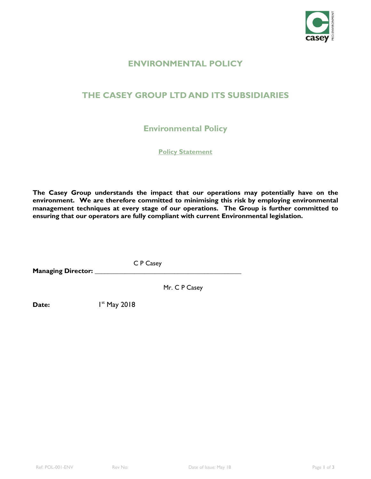

# **ENVIRONMENTAL POLICY**

# **THE CASEY GROUP LTD AND ITS SUBSIDIARIES**

**Environmental Policy** 

**Policy Statement**

**The Casey Group understands the impact that our operations may potentially have on the environment. We are therefore committed to minimising this risk by employing environmental management techniques at every stage of our operations. The Group is further committed to ensuring that our operators are fully compliant with current Environmental legislation.**

C P Casey

**Managing Director: \_\_\_\_\_\_\_\_\_\_\_\_\_\_\_\_\_\_\_\_\_\_\_\_\_\_\_\_\_\_\_\_\_\_\_\_\_\_\_\_\_\_\_\_**

Mr. C P Casey

**Date:**  $1^{st}$  May 2018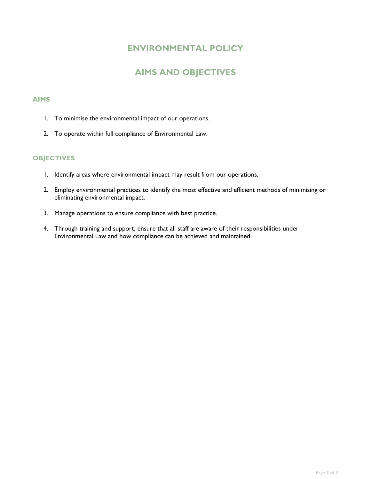### **ENVIRONMENTAL POLICY**

# **AIMS AND OBJECTIVES**

#### **AIMS**

- 1. To minimise the environmental impact of our operations.
- 2. To operate within full compliance of Environmental Law.

#### **OBJECTIVES**

- 1. Identify areas where environmental impact may result from our operations.
- 2. Employ environmental practices to identify the most effective and efficient methods of minimising or eliminating environmental impact.
- 3. Manage operations to ensure compliance with best practice.
- 4. Through training and support, ensure that all staff are aware of their responsibilities under Environmental Law and how compliance can be achieved and maintained.